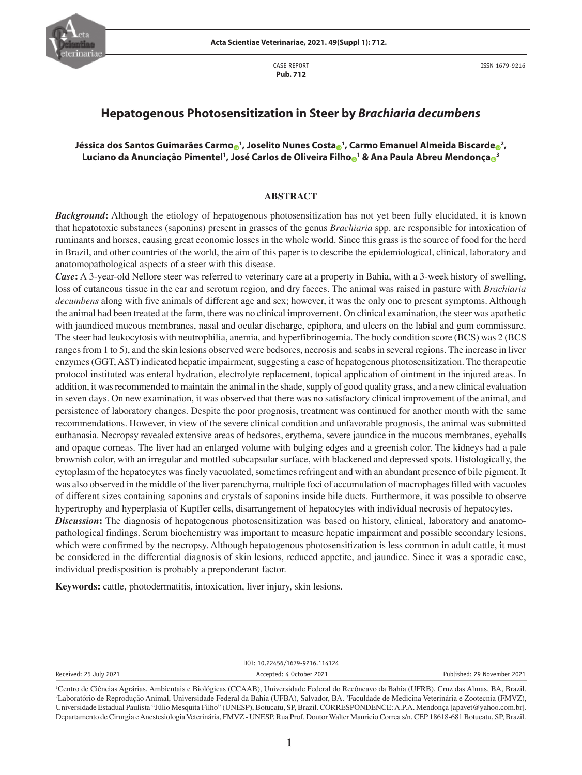

CASE REPORT **Pub. 712**

ISSN 1679-9216

# **Hepatogenous Photosensitization in Steer by** *Brachiaria decumbens*

# **Jéssica dos Santos Guimarães Carm[o](https://orcid.org/0000-0003-3082-4476) <sup>1</sup> , Joselito Nunes Cost[a](https://orcid.org/0000-0002-2371-0684) <sup>1</sup> , Carmo Emanuel Almeida Biscarde <sup>2</sup> , Luciano da Anunciação Pimentel1 , José Carlos de Oliveira Filh[o](https://orcid.org/0000-0003-4371-7936) <sup>1</sup> & Ana Paula Abreu Mendonç[a](https://orcid.org/0000-0002-4238-5768) <sup>3</sup>**

## **ABSTRACT**

*Background***:** Although the etiology of hepatogenous photosensitization has not yet been fully elucidated, it is known that hepatotoxic substances (saponins) present in grasses of the genus *Brachiaria* spp. are responsible for intoxication of ruminants and horses, causing great economic losses in the whole world. Since this grass is the source of food for the herd in Brazil, and other countries of the world, the aim of this paper is to describe the epidemiological, clinical, laboratory and anatomopathological aspects of a steer with this disease.

*Case***:** A 3-year-old Nellore steer was referred to veterinary care at a property in Bahia, with a 3-week history of swelling, loss of cutaneous tissue in the ear and scrotum region, and dry faeces. The animal was raised in pasture with *Brachiaria decumbens* along with five animals of different age and sex; however, it was the only one to present symptoms. Although the animal had been treated at the farm, there was no clinical improvement. On clinical examination, the steer was apathetic with jaundiced mucous membranes, nasal and ocular discharge, epiphora, and ulcers on the labial and gum commissure. The steer had leukocytosis with neutrophilia, anemia, and hyperfibrinogemia. The body condition score (BCS) was 2 (BCS ranges from 1 to 5), and the skin lesions observed were bedsores, necrosis and scabs in several regions. The increase in liver enzymes (GGT, AST) indicated hepatic impairment, suggesting a case of hepatogenous photosensitization. The therapeutic protocol instituted was enteral hydration, electrolyte replacement, topical application of ointment in the injured areas. In addition, it was recommended to maintain the animal in the shade, supply of good quality grass, and a new clinical evaluation in seven days. On new examination, it was observed that there was no satisfactory clinical improvement of the animal, and persistence of laboratory changes. Despite the poor prognosis, treatment was continued for another month with the same recommendations. However, in view of the severe clinical condition and unfavorable prognosis, the animal was submitted euthanasia. Necropsy revealed extensive areas of bedsores, erythema, severe jaundice in the mucous membranes, eyeballs and opaque corneas. The liver had an enlarged volume with bulging edges and a greenish color. The kidneys had a pale brownish color, with an irregular and mottled subcapsular surface, with blackened and depressed spots. Histologically, the cytoplasm of the hepatocytes was finely vacuolated, sometimes refringent and with an abundant presence of bile pigment. It was also observed in the middle of the liver parenchyma, multiple foci of accumulation of macrophages filled with vacuoles of different sizes containing saponins and crystals of saponins inside bile ducts. Furthermore, it was possible to observe hypertrophy and hyperplasia of Kupffer cells, disarrangement of hepatocytes with individual necrosis of hepatocytes.

**Discussion:** The diagnosis of hepatogenous photosensitization was based on history, clinical, laboratory and anatomopathological findings. Serum biochemistry was important to measure hepatic impairment and possible secondary lesions, which were confirmed by the necropsy. Although hepatogenous photosensitization is less common in adult cattle, it must be considered in the differential diagnosis of skin lesions, reduced appetite, and jaundice. Since it was a sporadic case, individual predisposition is probably a preponderant factor.

**Keywords:** cattle, photodermatitis, intoxication, liver injury, skin lesions.

DOI: 10.22456/1679-9216.114124 Received: 25 July 2021 Accepted: 4 October 2021 Published: 29 November 2021

<sup>1</sup> Centro de Ciências Agrárias, Ambientais e Biológicas (CCAAB), Universidade Federal do Recôncavo da Bahia (UFRB), Cruz das Almas, BA, Brazil. 2 Laboratório de Reprodução Animal, Universidade Federal da Bahia (UFBA), Salvador, BA. 3 Faculdade de Medicina Veterinária e Zootecnia (FMVZ), Universidade Estadual Paulista "Júlio Mesquita Filho" (UNESP), Botucatu, SP, Brazil. CORRESPONDENCE: A.P.A. Mendonça [apavet@yahoo.com.br]. Departamento de Cirurgia e Anestesiologia Veterinária, FMVZ - UNESP. Rua Prof. Doutor Walter Mauricio Correa s/n. CEP 18618-681 Botucatu, SP, Brazil.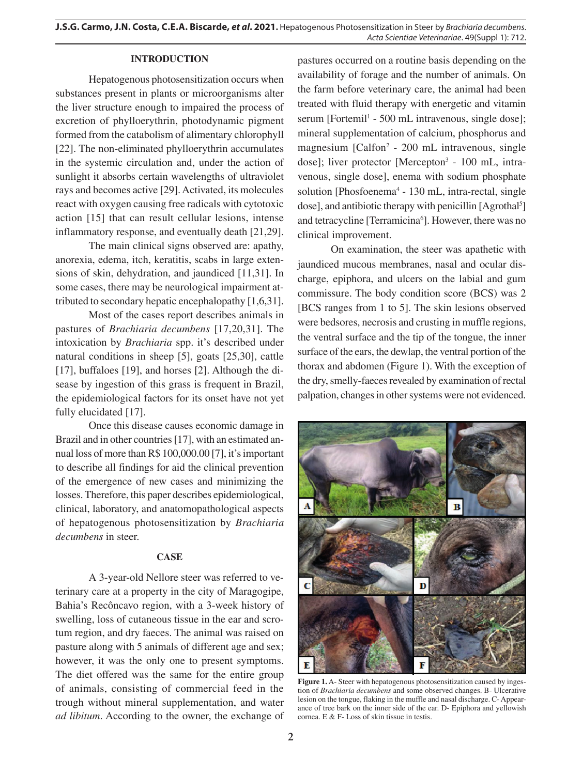## **INTRODUCTION**

Hepatogenous photosensitization occurs when substances present in plants or microorganisms alter the liver structure enough to impaired the process of excretion of phylloerythrin, photodynamic pigment formed from the catabolism of alimentary chlorophyll [22]. The non-eliminated phylloerythrin accumulates in the systemic circulation and, under the action of sunlight it absorbs certain wavelengths of ultraviolet rays and becomes active [29]. Activated, its molecules react with oxygen causing free radicals with cytotoxic action [15] that can result cellular lesions, intense inflammatory response, and eventually death [21,29].

The main clinical signs observed are: apathy, anorexia, edema, itch, keratitis, scabs in large extensions of skin, dehydration, and jaundiced [11,31]. In some cases, there may be neurological impairment attributed to secondary hepatic encephalopathy [1,6,31].

Most of the cases report describes animals in pastures of *Brachiaria decumbens* [17,20,31]. The intoxication by *Brachiaria* spp. it's described under natural conditions in sheep [5], goats [25,30], cattle [17], buffaloes [19], and horses [2]. Although the disease by ingestion of this grass is frequent in Brazil, the epidemiological factors for its onset have not yet fully elucidated [17].

Once this disease causes economic damage in Brazil and in other countries [17], with an estimated annual loss of more than R\$ 100,000.00 [7], it's important to describe all findings for aid the clinical prevention of the emergence of new cases and minimizing the losses. Therefore, this paper describes epidemiological, clinical, laboratory, and anatomopathological aspects of hepatogenous photosensitization by *Brachiaria decumbens* in steer.

#### **CASE**

A 3-year-old Nellore steer was referred to veterinary care at a property in the city of Maragogipe, Bahia's Recôncavo region, with a 3-week history of swelling, loss of cutaneous tissue in the ear and scrotum region, and dry faeces. The animal was raised on pasture along with 5 animals of different age and sex; however, it was the only one to present symptoms. The diet offered was the same for the entire group of animals, consisting of commercial feed in the trough without mineral supplementation, and water *ad libitum*. According to the owner, the exchange of

pastures occurred on a routine basis depending on the availability of forage and the number of animals. On the farm before veterinary care, the animal had been treated with fluid therapy with energetic and vitamin serum [Fortemil<sup>1</sup> - 500 mL intravenous, single dose]; mineral supplementation of calcium, phosphorus and magnesium [Calfon<sup>2</sup> - 200 mL intravenous, single dose]; liver protector [Mercepton<sup>3</sup> - 100 mL, intravenous, single dose], enema with sodium phosphate solution [Phosfoenema<sup>4</sup> - 130 mL, intra-rectal, single dose], and antibiotic therapy with penicillin [Agrothal<sup>5</sup>] and tetracycline [Terramicina<sup>6</sup>]. However, there was no clinical improvement.

On examination, the steer was apathetic with jaundiced mucous membranes, nasal and ocular discharge, epiphora, and ulcers on the labial and gum commissure. The body condition score (BCS) was 2 [BCS ranges from 1 to 5]. The skin lesions observed were bedsores, necrosis and crusting in muffle regions, the ventral surface and the tip of the tongue, the inner surface of the ears, the dewlap, the ventral portion of the thorax and abdomen (Figure 1). With the exception of the dry, smelly-faeces revealed by examination of rectal palpation, changes in other systems were not evidenced.



**Figure 1.** A- Steer with hepatogenous photosensitization caused by ingestion of *Brachiaria decumbens* and some observed changes. B- Ulcerative lesion on the tongue, flaking in the muffle and nasal discharge. C- Appearance of tree bark on the inner side of the ear. D- Epiphora and yellowish cornea. E & F- Loss of skin tissue in testis.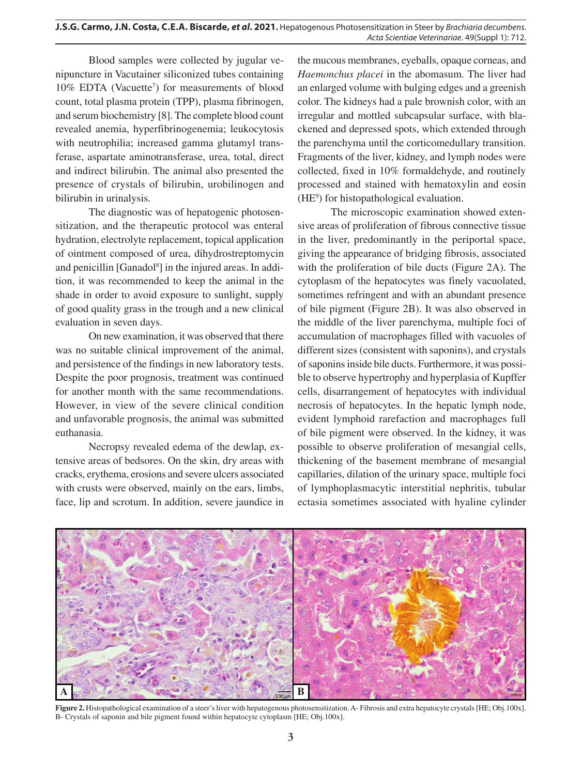Blood samples were collected by jugular venipuncture in Vacutainer siliconized tubes containing 10% EDTA (Vacuette<sup>7</sup>) for measurements of blood count, total plasma protein (TPP), plasma fibrinogen, and serum biochemistry [8]. The complete blood count revealed anemia, hyperfibrinogenemia; leukocytosis with neutrophilia; increased gamma glutamyl transferase, aspartate aminotransferase, urea, total, direct and indirect bilirubin. The animal also presented the presence of crystals of bilirubin, urobilinogen and bilirubin in urinalysis.

The diagnostic was of hepatogenic photosensitization, and the therapeutic protocol was enteral hydration, electrolyte replacement, topical application of ointment composed of urea, dihydrostreptomycin and penicillin [Ganadol<sup>8</sup>] in the injured areas. In addition, it was recommended to keep the animal in the shade in order to avoid exposure to sunlight, supply of good quality grass in the trough and a new clinical evaluation in seven days.

On new examination, it was observed that there was no suitable clinical improvement of the animal, and persistence of the findings in new laboratory tests. Despite the poor prognosis, treatment was continued for another month with the same recommendations. However, in view of the severe clinical condition and unfavorable prognosis, the animal was submitted euthanasia.

Necropsy revealed edema of the dewlap, extensive areas of bedsores. On the skin, dry areas with cracks, erythema, erosions and severe ulcers associated with crusts were observed, mainly on the ears, limbs, face, lip and scrotum. In addition, severe jaundice in

the mucous membranes, eyeballs, opaque corneas, and *Haemonchus placei* in the abomasum. The liver had an enlarged volume with bulging edges and a greenish color. The kidneys had a pale brownish color, with an irregular and mottled subcapsular surface, with blackened and depressed spots, which extended through the parenchyma until the corticomedullary transition. Fragments of the liver, kidney, and lymph nodes were collected, fixed in 10% formaldehyde, and routinely processed and stained with hematoxylin and eosin (HE9 ) for histopathological evaluation.

The microscopic examination showed extensive areas of proliferation of fibrous connective tissue in the liver, predominantly in the periportal space, giving the appearance of bridging fibrosis, associated with the proliferation of bile ducts (Figure 2A). The cytoplasm of the hepatocytes was finely vacuolated, sometimes refringent and with an abundant presence of bile pigment (Figure 2B). It was also observed in the middle of the liver parenchyma, multiple foci of accumulation of macrophages filled with vacuoles of different sizes (consistent with saponins), and crystals of saponins inside bile ducts. Furthermore, it was possible to observe hypertrophy and hyperplasia of Kupffer cells, disarrangement of hepatocytes with individual necrosis of hepatocytes. In the hepatic lymph node, evident lymphoid rarefaction and macrophages full of bile pigment were observed. In the kidney, it was possible to observe proliferation of mesangial cells, thickening of the basement membrane of mesangial capillaries, dilation of the urinary space, multiple foci of lymphoplasmacytic interstitial nephritis, tubular ectasia sometimes associated with hyaline cylinder



**Figure 2.** Histopathological examination of a steer's liver with hepatogenous photosensitization. A- Fibrosis and extra hepatocyte crystals [HE; Obj.100x]. B- Crystals of saponin and bile pigment found within hepatocyte cytoplasm [HE; Obj.100x].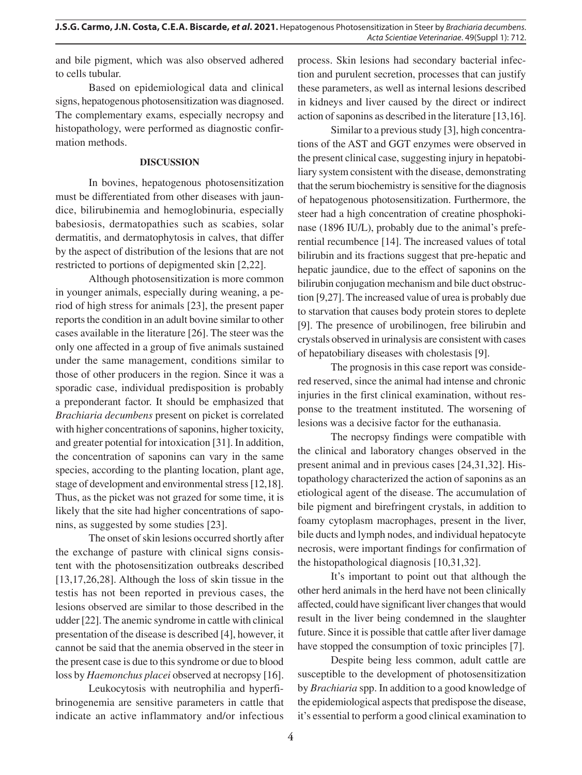and bile pigment, which was also observed adhered to cells tubular.

Based on epidemiological data and clinical signs, hepatogenous photosensitization was diagnosed. The complementary exams, especially necropsy and histopathology, were performed as diagnostic confirmation methods.

## **DISCUSSION**

In bovines, hepatogenous photosensitization must be differentiated from other diseases with jaundice, bilirubinemia and hemoglobinuria, especially babesiosis, dermatopathies such as scabies, solar dermatitis, and dermatophytosis in calves, that differ by the aspect of distribution of the lesions that are not restricted to portions of depigmented skin [2,22].

Although photosensitization is more common in younger animals, especially during weaning, a period of high stress for animals [23], the present paper reports the condition in an adult bovine similar to other cases available in the literature [26]. The steer was the only one affected in a group of five animals sustained under the same management, conditions similar to those of other producers in the region. Since it was a sporadic case, individual predisposition is probably a preponderant factor. It should be emphasized that *Brachiaria decumbens* present on picket is correlated with higher concentrations of saponins, higher toxicity, and greater potential for intoxication [31]. In addition, the concentration of saponins can vary in the same species, according to the planting location, plant age, stage of development and environmental stress [12,18]. Thus, as the picket was not grazed for some time, it is likely that the site had higher concentrations of saponins, as suggested by some studies [23].

The onset of skin lesions occurred shortly after the exchange of pasture with clinical signs consistent with the photosensitization outbreaks described [13,17,26,28]. Although the loss of skin tissue in the testis has not been reported in previous cases, the lesions observed are similar to those described in the udder [22]. The anemic syndrome in cattle with clinical presentation of the disease is described [4], however, it cannot be said that the anemia observed in the steer in the present case is due to this syndrome or due to blood loss by *Haemonchus placei* observed at necropsy [16].

Leukocytosis with neutrophilia and hyperfibrinogenemia are sensitive parameters in cattle that indicate an active inflammatory and/or infectious

process. Skin lesions had secondary bacterial infection and purulent secretion, processes that can justify these parameters, as well as internal lesions described in kidneys and liver caused by the direct or indirect action of saponins as described in the literature [13,16].

Similar to a previous study [3], high concentrations of the AST and GGT enzymes were observed in the present clinical case, suggesting injury in hepatobiliary system consistent with the disease, demonstrating that the serum biochemistry is sensitive for the diagnosis of hepatogenous photosensitization. Furthermore, the steer had a high concentration of creatine phosphokinase (1896 IU/L), probably due to the animal's preferential recumbence [14]. The increased values of total bilirubin and its fractions suggest that pre-hepatic and hepatic jaundice, due to the effect of saponins on the bilirubin conjugation mechanism and bile duct obstruction [9,27]. The increased value of urea is probably due to starvation that causes body protein stores to deplete [9]. The presence of urobilinogen, free bilirubin and crystals observed in urinalysis are consistent with cases of hepatobiliary diseases with cholestasis [9].

The prognosis in this case report was considered reserved, since the animal had intense and chronic injuries in the first clinical examination, without response to the treatment instituted. The worsening of lesions was a decisive factor for the euthanasia.

The necropsy findings were compatible with the clinical and laboratory changes observed in the present animal and in previous cases [24,31,32]. Histopathology characterized the action of saponins as an etiological agent of the disease. The accumulation of bile pigment and birefringent crystals, in addition to foamy cytoplasm macrophages, present in the liver, bile ducts and lymph nodes, and individual hepatocyte necrosis, were important findings for confirmation of the histopathological diagnosis [10,31,32].

It's important to point out that although the other herd animals in the herd have not been clinically affected, could have significant liver changes that would result in the liver being condemned in the slaughter future. Since it is possible that cattle after liver damage have stopped the consumption of toxic principles [7].

Despite being less common, adult cattle are susceptible to the development of photosensitization by *Brachiaria* spp. In addition to a good knowledge of the epidemiological aspects that predispose the disease, it's essential to perform a good clinical examination to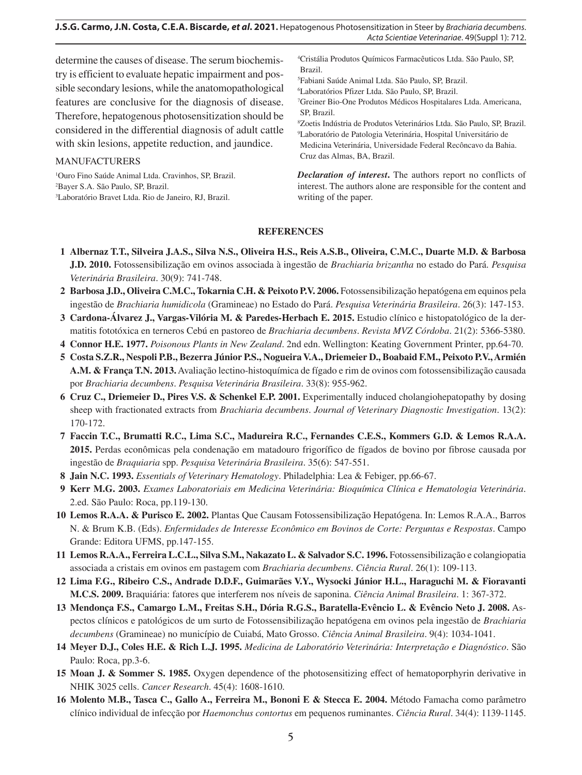## **J.S.G. Carmo, J.N. Costa, C.E.A. Biscarde,** *et al***. 2021.** Hepatogenous Photosensitization in Steer by *Brachiaria decumbens*. *Acta Scientiae Veterinariae*. 49(Suppl 1): 712.

determine the causes of disease. The serum biochemistry is efficient to evaluate hepatic impairment and possible secondary lesions, while the anatomopathological features are conclusive for the diagnosis of disease. Therefore, hepatogenous photosensitization should be considered in the differential diagnosis of adult cattle with skin lesions, appetite reduction, and jaundice.

### MANUFACTURERS

1 Ouro Fino Saúde Animal Ltda. Cravinhos, SP, Brazil. 2 Bayer S.A. São Paulo, SP, Brazil. 3 Laboratório Bravet Ltda. Rio de Janeiro, RJ, Brazil.

4 Cristália Produtos Químicos Farmacêuticos Ltda. São Paulo, SP, Brazil.

5 Fabiani Saúde Animal Ltda. São Paulo, SP, Brazil.

6 Laboratórios Pfizer Ltda. São Paulo, SP, Brazil. 7 Greiner Bio-One Produtos Médicos Hospitalares Ltda. Americana,

SP, Brazil.

8 Zoetis Indústria de Produtos Veterinários Ltda. São Paulo, SP, Brazil. 9 Laboratório de Patologia Veterinária, Hospital Universitário de Medicina Veterinária, Universidade Federal Recôncavo da Bahia. Cruz das Almas, BA, Brazil.

*Declaration of interest***.** The authors report no conflicts of interest. The authors alone are responsible for the content and writing of the paper.

# **REFERENCES**

- **1 Albernaz T.T., Silveira J.A.S., Silva N.S., Oliveira H.S., Reis A.S.B., Oliveira, C.M.C., Duarte M.D. & Barbosa J.D. 2010.** Fotossensibilização em ovinos associada à ingestão de *Brachiaria brizantha* no estado do Pará. *Pesquisa Veterinária Brasileira*. 30(9): 741-748.
- **2 Barbosa J.D., Oliveira C.M.C., Tokarnia C.H. & Peixoto P.V. 2006.** Fotossensibilização hepatógena em equinos pela ingestão de *Brachiaria humidicola* (Gramineae) no Estado do Pará. *Pesquisa Veterinária Brasileira*. 26(3): 147-153.
- **3 Cardona-Álvarez J., Vargas-Vilória M. & Paredes-Herbach E. 2015.** Estudio clínico e histopatológico de la dermatitis fototóxica en terneros Cebú en pastoreo de *Brachiaria decumbens*. *Revista MVZ Córdoba*. 21(2): 5366-5380.
- **4 Connor H.E. 1977.** *Poisonous Plants in New Zealand*. 2nd edn. Wellington: Keating Government Printer, pp.64-70.
- **5 Costa S.Z.R., Nespoli P.B., Bezerra Júnior P.S., NogueiraV.A., Driemeier D., Boabaid F.M., Peixoto P.V.,Armién A.M. & França T.N. 2013.** Avaliação lectino-histoquímica de fígado e rim de ovinos com fotossensibilização causada por *Brachiaria decumbens*. *Pesquisa Veterinária Brasileira*. 33(8): 955-962.
- **6 Cruz C., Driemeier D., Pires V.S. & Schenkel E.P. 2001.** Experimentally induced cholangiohepatopathy by dosing sheep with fractionated extracts from *Brachiaria decumbens*. *Journal of Veterinary Diagnostic Investigation*. 13(2): 170-172.
- **7 Faccin T.C., Brumatti R.C., Lima S.C., Madureira R.C., Fernandes C.E.S., Kommers G.D. & Lemos R.A.A. 2015.** Perdas econômicas pela condenação em matadouro frigorífico de fígados de bovino por fibrose causada por ingestão de *Braquiaria* spp. *Pesquisa Veterinária Brasileira*. 35(6): 547-551.
- **8 Jain N.C. 1993.** *Essentials of Veterinary Hematology*. Philadelphia: Lea & Febiger, pp.66-67.
- **9 Kerr M.G. 2003.** *Exames Laboratoriais em Medicina Veterinária: Bioquímica Clínica e Hematologia Veterinária*. 2.ed. São Paulo: Roca, pp.119-130.
- **10 Lemos R.A.A. & Purisco E. 2002.** Plantas Que Causam Fotossensibilização Hepatógena. In: Lemos R.A.A., Barros N. & Brum K.B. (Eds). *Enfermidades de Interesse Econômico em Bovinos de Corte: Perguntas e Respostas*. Campo Grande: Editora UFMS, pp.147-155.
- **11 Lemos R.A.A., Ferreira L.C.L., Silva S.M., Nakazato L. & Salvador S.C. 1996.** Fotossensibilização e colangiopatia associada a cristais em ovinos em pastagem com *Brachiaria decumbens*. *Ciência Rural*. 26(1): 109-113.
- **12 Lima F.G., Ribeiro C.S., Andrade D.D.F., Guimarães V.Y., Wysocki Júnior H.L., Haraguchi M. & Fioravanti M.C.S. 2009.** Braquiária: fatores que interferem nos níveis de saponina. *Ciência Animal Brasileira*. 1: 367-372.
- **13 Mendonça F.S., Camargo L.M., Freitas S.H., Dória R.G.S., Baratella-Evêncio L. & Evêncio Neto J. 2008.** Aspectos clínicos e patológicos de um surto de Fotossensibilização hepatógena em ovinos pela ingestão de *Brachiaria decumbens* (Gramineae) no município de Cuiabá, Mato Grosso. *Ciência Animal Brasileira*. 9(4): 1034-1041.
- **14 Meyer D.J., Coles H.E. & Rich L.J. 1995.** *Medicina de Laboratório Veterinária: Interpretação e Diagnóstico*. São Paulo: Roca, pp.3-6.
- **15 Moan J. & Sommer S. 1985.** Oxygen dependence of the photosensitizing effect of hematoporphyrin derivative in NHIK 3025 cells. *Cancer Research*. 45(4): 1608-1610.
- **16 Molento M.B., Tasca C., Gallo A., Ferreira M., Bononi E & Stecca E. 2004.** Método Famacha como parâmetro clínico individual de infecção por *Haemonchus contortus* em pequenos ruminantes. *Ciência Rural*. 34(4): 1139-1145.